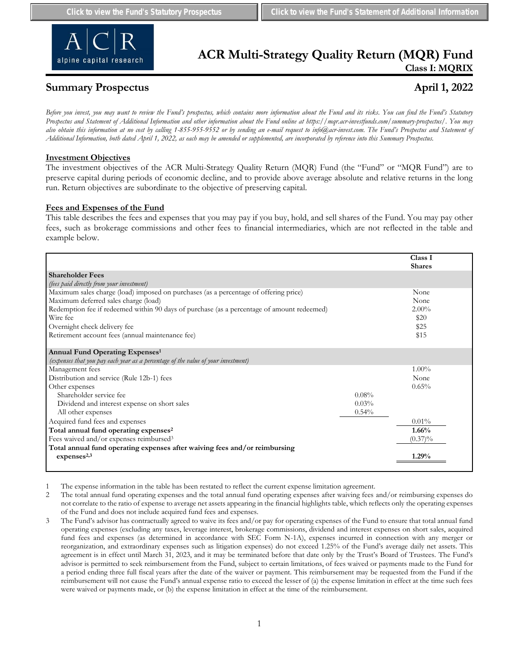

# **ACR Multi-Strategy Quality Return (MQR) Fund Class I: MQRIX**

# **Summary Prospectus April 1, 2022**

*Before you invest, you may want to review the Fund's prospectus, which contains more information about the Fund and its risks. You can find the Fund's Statutory Prospectus and Statement of Additional Information and other information about the Fund online at https://mqr.acr-investfunds.com/summary-prospectus/. You may also obtain this information at no cost by calling 1-855-955-9552 or by sending an e-mail request to info@acr-invest.com. The Fund's Prospectus and Statement of Additional Information, both dated April 1, 2022, as each may be amended or supplemented, are incorporated by reference into this Summary Prospectus.*

# **Investment Objectives**

The investment objectives of the ACR Multi-Strategy Quality Return (MQR) Fund (the "Fund" or "MQR Fund") are to preserve capital during periods of economic decline, and to provide above average absolute and relative returns in the long run. Return objectives are subordinate to the objective of preserving capital.

# **Fees and Expenses of the Fund**

This table describes the fees and expenses that you may pay if you buy, hold, and sell shares of the Fund. You may pay other fees, such as brokerage commissions and other fees to financial intermediaries, which are not reflected in the table and example below.

|                                                                                            |          | Class I<br><b>Shares</b> |
|--------------------------------------------------------------------------------------------|----------|--------------------------|
| <b>Shareholder Fees</b>                                                                    |          |                          |
| (fees paid directly from your investment)                                                  |          |                          |
| Maximum sales charge (load) imposed on purchases (as a percentage of offering price)       |          | None                     |
| Maximum deferred sales charge (load)                                                       |          | None                     |
| Redemption fee if redeemed within 90 days of purchase (as a percentage of amount redeemed) |          | $2.00\%$                 |
| Wire fee                                                                                   |          | \$20                     |
| Overnight check delivery fee                                                               |          | \$25                     |
| Retirement account fees (annual maintenance fee)                                           |          | \$15                     |
| Annual Fund Operating Expenses <sup>1</sup>                                                |          |                          |
| (expenses that you pay each year as a percentage of the value of your investment)          |          |                          |
| Management fees                                                                            |          | $1.00\%$                 |
| Distribution and service (Rule 12b-1) fees                                                 |          | None                     |
| Other expenses                                                                             |          | 0.65%                    |
| Shareholder service fee                                                                    | 0.08%    |                          |
| Dividend and interest expense on short sales                                               | 0.03%    |                          |
| All other expenses                                                                         | $0.54\%$ |                          |
| Acquired fund fees and expenses                                                            |          | 0.01%                    |
| Total annual fund operating expenses <sup>2</sup>                                          |          | 1.66%                    |
| Fees waived and/or expenses reimbursed <sup>3</sup>                                        |          | $(0.37)\%$               |
| Total annual fund operating expenses after waiving fees and/or reimbursing                 |          |                          |
| expenses <sup>2,3</sup>                                                                    |          | 1.29%                    |
|                                                                                            |          |                          |

1 The expense information in the table has been restated to reflect the current expense limitation agreement.

<sup>2</sup> The total annual fund operating expenses and the total annual fund operating expenses after waiving fees and/or reimbursing expenses do not correlate to the ratio of expense to average net assets appearing in the financial highlights table, which reflects only the operating expenses of the Fund and does not include acquired fund fees and expenses.

<sup>3</sup> The Fund's advisor has contractually agreed to waive its fees and/or pay for operating expenses of the Fund to ensure that total annual fund operating expenses (excluding any taxes, leverage interest, brokerage commissions, dividend and interest expenses on short sales, acquired fund fees and expenses (as determined in accordance with SEC Form N-1A), expenses incurred in connection with any merger or reorganization, and extraordinary expenses such as litigation expenses) do not exceed 1.25% of the Fund's average daily net assets. This agreement is in effect until March 31, 2023, and it may be terminated before that date only by the Trust's Board of Trustees. The Fund's advisor is permitted to seek reimbursement from the Fund, subject to certain limitations, of fees waived or payments made to the Fund for a period ending three full fiscal years after the date of the waiver or payment. This reimbursement may be requested from the Fund if the reimbursement will not cause the Fund's annual expense ratio to exceed the lesser of (a) the expense limitation in effect at the time such fees were waived or payments made, or (b) the expense limitation in effect at the time of the reimbursement.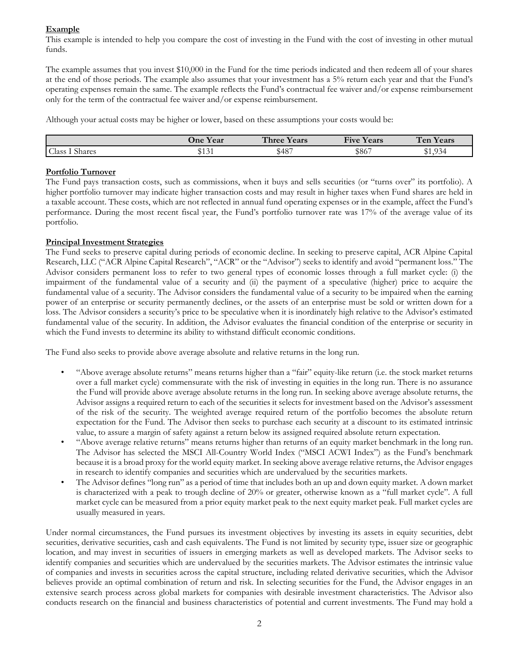# **Example**

This example is intended to help you compare the cost of investing in the Fund with the cost of investing in other mutual funds.

The example assumes that you invest \$10,000 in the Fund for the time periods indicated and then redeem all of your shares at the end of those periods. The example also assumes that your investment has a 5% return each year and that the Fund's operating expenses remain the same. The example reflects the Fund's contractual fee waiver and/or expense reimbursement only for the term of the contractual fee waiver and/or expense reimbursement.

Although your actual costs may be higher or lower, based on these assumptions your costs would be:

|                                            | Jne Year            | Three Y<br>Years | $\blacksquare$<br>$\mathbf{r}$<br><b>Five</b><br>Years | Ten<br>$ -$<br>Years |
|--------------------------------------------|---------------------|------------------|--------------------------------------------------------|----------------------|
| Class<br>$\mathbf{r}$ $\alpha$<br>1 Shares | ተብ ጥላ<br>÷<br>، ب ب | \$487            | \$867                                                  | \$1,934              |

# **Portfolio Turnover**

The Fund pays transaction costs, such as commissions, when it buys and sells securities (or "turns over" its portfolio). A higher portfolio turnover may indicate higher transaction costs and may result in higher taxes when Fund shares are held in a taxable account. These costs, which are not reflected in annual fund operating expenses or in the example, affect the Fund's performance. During the most recent fiscal year, the Fund's portfolio turnover rate was 17% of the average value of its portfolio.

# **Principal Investment Strategies**

The Fund seeks to preserve capital during periods of economic decline. In seeking to preserve capital, ACR Alpine Capital Research, LLC ("ACR Alpine Capital Research", "ACR" or the "Advisor") seeks to identify and avoid "permanent loss." The Advisor considers permanent loss to refer to two general types of economic losses through a full market cycle: (i) the impairment of the fundamental value of a security and (ii) the payment of a speculative (higher) price to acquire the fundamental value of a security. The Advisor considers the fundamental value of a security to be impaired when the earning power of an enterprise or security permanently declines, or the assets of an enterprise must be sold or written down for a loss. The Advisor considers a security's price to be speculative when it is inordinately high relative to the Advisor's estimated fundamental value of the security. In addition, the Advisor evaluates the financial condition of the enterprise or security in which the Fund invests to determine its ability to withstand difficult economic conditions.

The Fund also seeks to provide above average absolute and relative returns in the long run.

- "Above average absolute returns" means returns higher than a "fair" equity-like return (i.e. the stock market returns over a full market cycle) commensurate with the risk of investing in equities in the long run. There is no assurance the Fund will provide above average absolute returns in the long run. In seeking above average absolute returns, the Advisor assigns a required return to each of the securities it selects for investment based on the Advisor's assessment of the risk of the security. The weighted average required return of the portfolio becomes the absolute return expectation for the Fund. The Advisor then seeks to purchase each security at a discount to its estimated intrinsic value, to assure a margin of safety against a return below its assigned required absolute return expectation.
- "Above average relative returns" means returns higher than returns of an equity market benchmark in the long run. The Advisor has selected the MSCI All-Country World Index ("MSCI ACWI Index") as the Fund's benchmark because it is a broad proxy for the world equity market. In seeking above average relative returns, the Advisor engages in research to identify companies and securities which are undervalued by the securities markets.
- The Advisor defines "long run" as a period of time that includes both an up and down equity market. A down market is characterized with a peak to trough decline of 20% or greater, otherwise known as a "full market cycle". A full market cycle can be measured from a prior equity market peak to the next equity market peak. Full market cycles are usually measured in years.

Under normal circumstances, the Fund pursues its investment objectives by investing its assets in equity securities, debt securities, derivative securities, cash and cash equivalents. The Fund is not limited by security type, issuer size or geographic location, and may invest in securities of issuers in emerging markets as well as developed markets. The Advisor seeks to identify companies and securities which are undervalued by the securities markets. The Advisor estimates the intrinsic value of companies and invests in securities across the capital structure, including related derivative securities, which the Advisor believes provide an optimal combination of return and risk. In selecting securities for the Fund, the Advisor engages in an extensive search process across global markets for companies with desirable investment characteristics. The Advisor also conducts research on the financial and business characteristics of potential and current investments. The Fund may hold a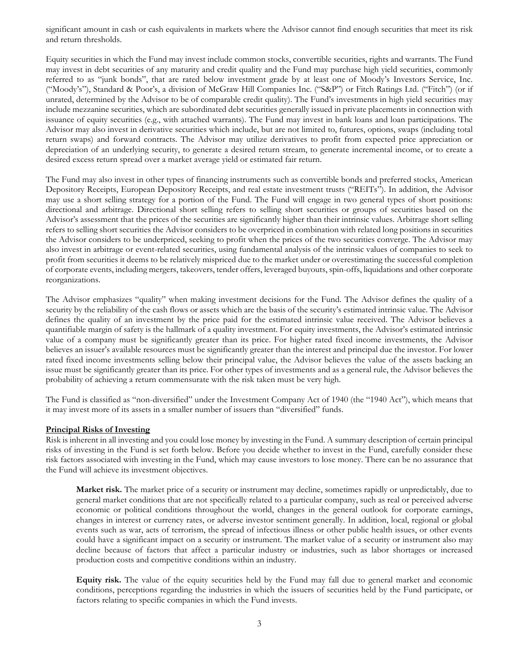significant amount in cash or cash equivalents in markets where the Advisor cannot find enough securities that meet its risk and return thresholds.

Equity securities in which the Fund may invest include common stocks, convertible securities, rights and warrants. The Fund may invest in debt securities of any maturity and credit quality and the Fund may purchase high yield securities, commonly referred to as "junk bonds", that are rated below investment grade by at least one of Moody's Investors Service, Inc. ("Moody's"), Standard & Poor's, a division of McGraw Hill Companies Inc. ("S&P") or Fitch Ratings Ltd. ("Fitch") (or if unrated, determined by the Advisor to be of comparable credit quality). The Fund's investments in high yield securities may include mezzanine securities, which are subordinated debt securities generally issued in private placements in connection with issuance of equity securities (e.g., with attached warrants). The Fund may invest in bank loans and loan participations. The Advisor may also invest in derivative securities which include, but are not limited to, futures, options, swaps (including total return swaps) and forward contracts. The Advisor may utilize derivatives to profit from expected price appreciation or depreciation of an underlying security, to generate a desired return stream, to generate incremental income, or to create a desired excess return spread over a market average yield or estimated fair return.

The Fund may also invest in other types of financing instruments such as convertible bonds and preferred stocks, American Depository Receipts, European Depository Receipts, and real estate investment trusts ("REITs"). In addition, the Advisor may use a short selling strategy for a portion of the Fund. The Fund will engage in two general types of short positions: directional and arbitrage. Directional short selling refers to selling short securities or groups of securities based on the Advisor's assessment that the prices of the securities are significantly higher than their intrinsic values. Arbitrage short selling refers to selling short securities the Advisor considers to be overpriced in combination with related long positions in securities the Advisor considers to be underpriced, seeking to profit when the prices of the two securities converge. The Advisor may also invest in arbitrage or event-related securities, using fundamental analysis of the intrinsic values of companies to seek to profit from securities it deems to be relatively mispriced due to the market under or overestimating the successful completion of corporate events, including mergers, takeovers, tender offers, leveraged buyouts, spin-offs, liquidations and other corporate reorganizations.

The Advisor emphasizes "quality" when making investment decisions for the Fund. The Advisor defines the quality of a security by the reliability of the cash flows or assets which are the basis of the security's estimated intrinsic value. The Advisor defines the quality of an investment by the price paid for the estimated intrinsic value received. The Advisor believes a quantifiable margin of safety is the hallmark of a quality investment. For equity investments, the Advisor's estimated intrinsic value of a company must be significantly greater than its price. For higher rated fixed income investments, the Advisor believes an issuer's available resources must be significantly greater than the interest and principal due the investor. For lower rated fixed income investments selling below their principal value, the Advisor believes the value of the assets backing an issue must be significantly greater than its price. For other types of investments and as a general rule, the Advisor believes the probability of achieving a return commensurate with the risk taken must be very high.

The Fund is classified as "non-diversified" under the Investment Company Act of 1940 (the "1940 Act"), which means that it may invest more of its assets in a smaller number of issuers than "diversified" funds.

#### **Principal Risks of Investing**

Risk is inherent in all investing and you could lose money by investing in the Fund. A summary description of certain principal risks of investing in the Fund is set forth below. Before you decide whether to invest in the Fund, carefully consider these risk factors associated with investing in the Fund, which may cause investors to lose money. There can be no assurance that the Fund will achieve its investment objectives.

**Market risk.** The market price of a security or instrument may decline, sometimes rapidly or unpredictably, due to general market conditions that are not specifically related to a particular company, such as real or perceived adverse economic or political conditions throughout the world, changes in the general outlook for corporate earnings, changes in interest or currency rates, or adverse investor sentiment generally. In addition, local, regional or global events such as war, acts of terrorism, the spread of infectious illness or other public health issues, or other events could have a significant impact on a security or instrument. The market value of a security or instrument also may decline because of factors that affect a particular industry or industries, such as labor shortages or increased production costs and competitive conditions within an industry.

**Equity risk.** The value of the equity securities held by the Fund may fall due to general market and economic conditions, perceptions regarding the industries in which the issuers of securities held by the Fund participate, or factors relating to specific companies in which the Fund invests.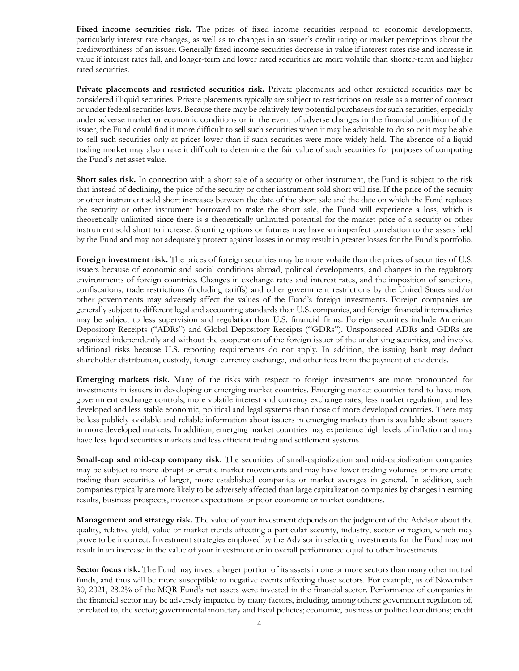Fixed income securities risk. The prices of fixed income securities respond to economic developments, particularly interest rate changes, as well as to changes in an issuer's credit rating or market perceptions about the creditworthiness of an issuer. Generally fixed income securities decrease in value if interest rates rise and increase in value if interest rates fall, and longer-term and lower rated securities are more volatile than shorter-term and higher rated securities.

**Private placements and restricted securities risk.** Private placements and other restricted securities may be considered illiquid securities. Private placements typically are subject to restrictions on resale as a matter of contract or under federal securities laws. Because there may be relatively few potential purchasers for such securities, especially under adverse market or economic conditions or in the event of adverse changes in the financial condition of the issuer, the Fund could find it more difficult to sell such securities when it may be advisable to do so or it may be able to sell such securities only at prices lower than if such securities were more widely held. The absence of a liquid trading market may also make it difficult to determine the fair value of such securities for purposes of computing the Fund's net asset value.

**Short sales risk.** In connection with a short sale of a security or other instrument, the Fund is subject to the risk that instead of declining, the price of the security or other instrument sold short will rise. If the price of the security or other instrument sold short increases between the date of the short sale and the date on which the Fund replaces the security or other instrument borrowed to make the short sale, the Fund will experience a loss, which is theoretically unlimited since there is a theoretically unlimited potential for the market price of a security or other instrument sold short to increase. Shorting options or futures may have an imperfect correlation to the assets held by the Fund and may not adequately protect against losses in or may result in greater losses for the Fund's portfolio.

Foreign investment risk. The prices of foreign securities may be more volatile than the prices of securities of U.S. issuers because of economic and social conditions abroad, political developments, and changes in the regulatory environments of foreign countries. Changes in exchange rates and interest rates, and the imposition of sanctions, confiscations, trade restrictions (including tariffs) and other government restrictions by the United States and/or other governments may adversely affect the values of the Fund's foreign investments. Foreign companies are generally subject to different legal and accounting standards than U.S. companies, and foreign financial intermediaries may be subject to less supervision and regulation than U.S. financial firms. Foreign securities include American Depository Receipts ("ADRs") and Global Depository Receipts ("GDRs"). Unsponsored ADRs and GDRs are organized independently and without the cooperation of the foreign issuer of the underlying securities, and involve additional risks because U.S. reporting requirements do not apply. In addition, the issuing bank may deduct shareholder distribution, custody, foreign currency exchange, and other fees from the payment of dividends.

**Emerging markets risk.** Many of the risks with respect to foreign investments are more pronounced for investments in issuers in developing or emerging market countries. Emerging market countries tend to have more government exchange controls, more volatile interest and currency exchange rates, less market regulation, and less developed and less stable economic, political and legal systems than those of more developed countries. There may be less publicly available and reliable information about issuers in emerging markets than is available about issuers in more developed markets. In addition, emerging market countries may experience high levels of inflation and may have less liquid securities markets and less efficient trading and settlement systems.

**Small-cap and mid-cap company risk.** The securities of small-capitalization and mid-capitalization companies may be subject to more abrupt or erratic market movements and may have lower trading volumes or more erratic trading than securities of larger, more established companies or market averages in general. In addition, such companies typically are more likely to be adversely affected than large capitalization companies by changes in earning results, business prospects, investor expectations or poor economic or market conditions.

**Management and strategy risk.** The value of your investment depends on the judgment of the Advisor about the quality, relative yield, value or market trends affecting a particular security, industry, sector or region, which may prove to be incorrect. Investment strategies employed by the Advisor in selecting investments for the Fund may not result in an increase in the value of your investment or in overall performance equal to other investments.

**Sector focus risk.** The Fund may invest a larger portion of its assets in one or more sectors than many other mutual funds, and thus will be more susceptible to negative events affecting those sectors. For example, as of November 30, 2021, 28.2% of the MQR Fund's net assets were invested in the financial sector. Performance of companies in the financial sector may be adversely impacted by many factors, including, among others: government regulation of, or related to, the sector; governmental monetary and fiscal policies; economic, business or political conditions; credit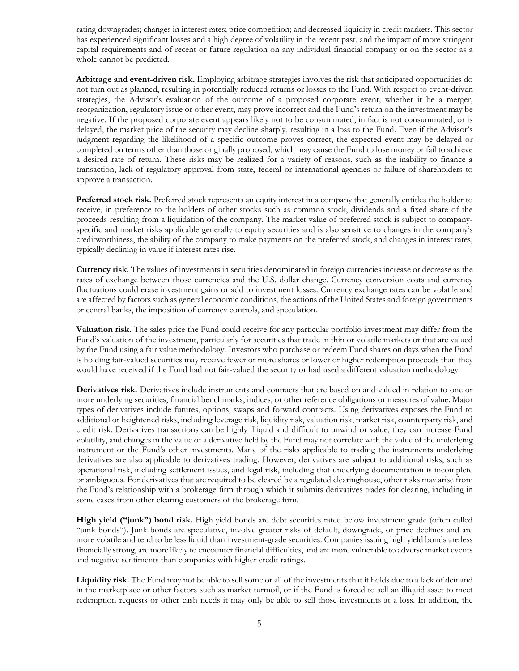rating downgrades; changes in interest rates; price competition; and decreased liquidity in credit markets. This sector has experienced significant losses and a high degree of volatility in the recent past, and the impact of more stringent capital requirements and of recent or future regulation on any individual financial company or on the sector as a whole cannot be predicted.

**Arbitrage and event-driven risk.** Employing arbitrage strategies involves the risk that anticipated opportunities do not turn out as planned, resulting in potentially reduced returns or losses to the Fund. With respect to event-driven strategies, the Advisor's evaluation of the outcome of a proposed corporate event, whether it be a merger, reorganization, regulatory issue or other event, may prove incorrect and the Fund's return on the investment may be negative. If the proposed corporate event appears likely not to be consummated, in fact is not consummated, or is delayed, the market price of the security may decline sharply, resulting in a loss to the Fund. Even if the Advisor's judgment regarding the likelihood of a specific outcome proves correct, the expected event may be delayed or completed on terms other than those originally proposed, which may cause the Fund to lose money or fail to achieve a desired rate of return. These risks may be realized for a variety of reasons, such as the inability to finance a transaction, lack of regulatory approval from state, federal or international agencies or failure of shareholders to approve a transaction.

**Preferred stock risk.** Preferred stock represents an equity interest in a company that generally entitles the holder to receive, in preference to the holders of other stocks such as common stock, dividends and a fixed share of the proceeds resulting from a liquidation of the company. The market value of preferred stock is subject to companyspecific and market risks applicable generally to equity securities and is also sensitive to changes in the company's creditworthiness, the ability of the company to make payments on the preferred stock, and changes in interest rates, typically declining in value if interest rates rise.

**Currency risk.** The values of investments in securities denominated in foreign currencies increase or decrease as the rates of exchange between those currencies and the U.S. dollar change. Currency conversion costs and currency fluctuations could erase investment gains or add to investment losses. Currency exchange rates can be volatile and are affected by factors such as general economic conditions, the actions of the United States and foreign governments or central banks, the imposition of currency controls, and speculation.

**Valuation risk.** The sales price the Fund could receive for any particular portfolio investment may differ from the Fund's valuation of the investment, particularly for securities that trade in thin or volatile markets or that are valued by the Fund using a fair value methodology. Investors who purchase or redeem Fund shares on days when the Fund is holding fair-valued securities may receive fewer or more shares or lower or higher redemption proceeds than they would have received if the Fund had not fair-valued the security or had used a different valuation methodology.

**Derivatives risk.** Derivatives include instruments and contracts that are based on and valued in relation to one or more underlying securities, financial benchmarks, indices, or other reference obligations or measures of value. Major types of derivatives include futures, options, swaps and forward contracts. Using derivatives exposes the Fund to additional or heightened risks, including leverage risk, liquidity risk, valuation risk, market risk, counterparty risk, and credit risk. Derivatives transactions can be highly illiquid and difficult to unwind or value, they can increase Fund volatility, and changes in the value of a derivative held by the Fund may not correlate with the value of the underlying instrument or the Fund's other investments. Many of the risks applicable to trading the instruments underlying derivatives are also applicable to derivatives trading. However, derivatives are subject to additional risks, such as operational risk, including settlement issues, and legal risk, including that underlying documentation is incomplete or ambiguous. For derivatives that are required to be cleared by a regulated clearinghouse, other risks may arise from the Fund's relationship with a brokerage firm through which it submits derivatives trades for clearing, including in some cases from other clearing customers of the brokerage firm.

**High yield ("junk") bond risk.** High yield bonds are debt securities rated below investment grade (often called "junk bonds"). Junk bonds are speculative, involve greater risks of default, downgrade, or price declines and are more volatile and tend to be less liquid than investment-grade securities. Companies issuing high yield bonds are less financially strong, are more likely to encounter financial difficulties, and are more vulnerable to adverse market events and negative sentiments than companies with higher credit ratings.

**Liquidity risk.** The Fund may not be able to sell some or all of the investments that it holds due to a lack of demand in the marketplace or other factors such as market turmoil, or if the Fund is forced to sell an illiquid asset to meet redemption requests or other cash needs it may only be able to sell those investments at a loss. In addition, the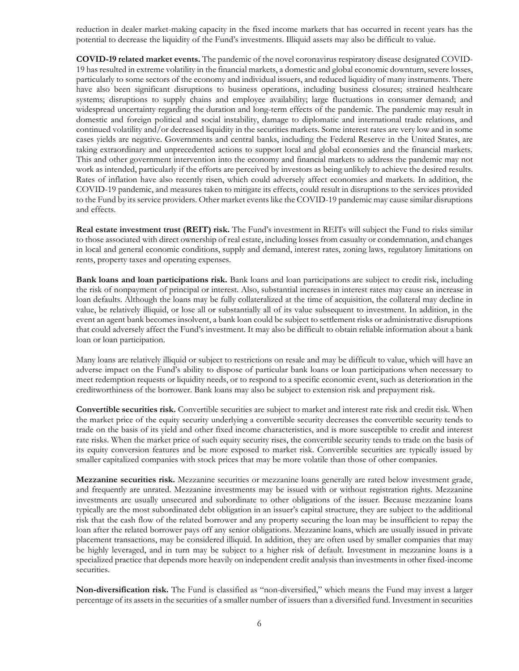reduction in dealer market-making capacity in the fixed income markets that has occurred in recent years has the potential to decrease the liquidity of the Fund's investments. Illiquid assets may also be difficult to value.

**COVID-19 related market events.** The pandemic of the novel coronavirus respiratory disease designated COVID-19 has resulted in extreme volatility in the financial markets, a domestic and global economic downturn, severe losses, particularly to some sectors of the economy and individual issuers, and reduced liquidity of many instruments. There have also been significant disruptions to business operations, including business closures; strained healthcare systems; disruptions to supply chains and employee availability; large fluctuations in consumer demand; and widespread uncertainty regarding the duration and long-term effects of the pandemic. The pandemic may result in domestic and foreign political and social instability, damage to diplomatic and international trade relations, and continued volatility and/or decreased liquidity in the securities markets. Some interest rates are very low and in some cases yields are negative. Governments and central banks, including the Federal Reserve in the United States, are taking extraordinary and unprecedented actions to support local and global economies and the financial markets. This and other government intervention into the economy and financial markets to address the pandemic may not work as intended, particularly if the efforts are perceived by investors as being unlikely to achieve the desired results. Rates of inflation have also recently risen, which could adversely affect economies and markets. In addition, the COVID-19 pandemic, and measures taken to mitigate its effects, could result in disruptions to the services provided to the Fund by its service providers. Other market events like the COVID-19 pandemic may cause similar disruptions and effects.

**Real estate investment trust (REIT) risk.** The Fund's investment in REITs will subject the Fund to risks similar to those associated with direct ownership of real estate, including losses from casualty or condemnation, and changes in local and general economic conditions, supply and demand, interest rates, zoning laws, regulatory limitations on rents, property taxes and operating expenses.

**Bank loans and loan participations risk.** Bank loans and loan participations are subject to credit risk, including the risk of nonpayment of principal or interest. Also, substantial increases in interest rates may cause an increase in loan defaults. Although the loans may be fully collateralized at the time of acquisition, the collateral may decline in value, be relatively illiquid, or lose all or substantially all of its value subsequent to investment. In addition, in the event an agent bank becomes insolvent, a bank loan could be subject to settlement risks or administrative disruptions that could adversely affect the Fund's investment. It may also be difficult to obtain reliable information about a bank loan or loan participation.

Many loans are relatively illiquid or subject to restrictions on resale and may be difficult to value, which will have an adverse impact on the Fund's ability to dispose of particular bank loans or loan participations when necessary to meet redemption requests or liquidity needs, or to respond to a specific economic event, such as deterioration in the creditworthiness of the borrower. Bank loans may also be subject to extension risk and prepayment risk.

**Convertible securities risk.** Convertible securities are subject to market and interest rate risk and credit risk. When the market price of the equity security underlying a convertible security decreases the convertible security tends to trade on the basis of its yield and other fixed income characteristics, and is more susceptible to credit and interest rate risks. When the market price of such equity security rises, the convertible security tends to trade on the basis of its equity conversion features and be more exposed to market risk. Convertible securities are typically issued by smaller capitalized companies with stock prices that may be more volatile than those of other companies.

**Mezzanine securities risk.** Mezzanine securities or mezzanine loans generally are rated below investment grade, and frequently are unrated. Mezzanine investments may be issued with or without registration rights. Mezzanine investments are usually unsecured and subordinate to other obligations of the issuer. Because mezzanine loans typically are the most subordinated debt obligation in an issuer's capital structure, they are subject to the additional risk that the cash flow of the related borrower and any property securing the loan may be insufficient to repay the loan after the related borrower pays off any senior obligations. Mezzanine loans, which are usually issued in private placement transactions, may be considered illiquid. In addition, they are often used by smaller companies that may be highly leveraged, and in turn may be subject to a higher risk of default. Investment in mezzanine loans is a specialized practice that depends more heavily on independent credit analysis than investments in other fixed-income securities.

**Non-diversification risk.** The Fund is classified as "non-diversified," which means the Fund may invest a larger percentage of its assets in the securities of a smaller number of issuers than a diversified fund. Investment in securities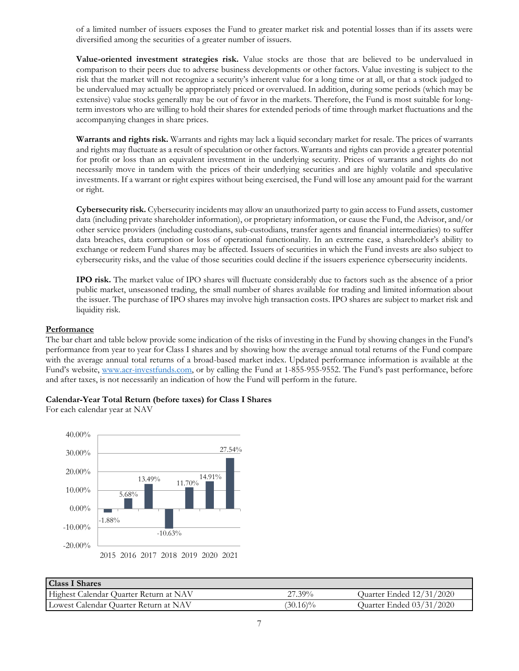of a limited number of issuers exposes the Fund to greater market risk and potential losses than if its assets were diversified among the securities of a greater number of issuers.

**Value-oriented investment strategies risk.** Value stocks are those that are believed to be undervalued in comparison to their peers due to adverse business developments or other factors. Value investing is subject to the risk that the market will not recognize a security's inherent value for a long time or at all, or that a stock judged to be undervalued may actually be appropriately priced or overvalued. In addition, during some periods (which may be extensive) value stocks generally may be out of favor in the markets. Therefore, the Fund is most suitable for longterm investors who are willing to hold their shares for extended periods of time through market fluctuations and the accompanying changes in share prices.

**Warrants and rights risk.** Warrants and rights may lack a liquid secondary market for resale. The prices of warrants and rights may fluctuate as a result of speculation or other factors. Warrants and rights can provide a greater potential for profit or loss than an equivalent investment in the underlying security. Prices of warrants and rights do not necessarily move in tandem with the prices of their underlying securities and are highly volatile and speculative investments. If a warrant or right expires without being exercised, the Fund will lose any amount paid for the warrant or right.

**Cybersecurity risk.** Cybersecurity incidents may allow an unauthorized party to gain access to Fund assets, customer data (including private shareholder information), or proprietary information, or cause the Fund, the Advisor, and/or other service providers (including custodians, sub-custodians, transfer agents and financial intermediaries) to suffer data breaches, data corruption or loss of operational functionality. In an extreme case, a shareholder's ability to exchange or redeem Fund shares may be affected. Issuers of securities in which the Fund invests are also subject to cybersecurity risks, and the value of those securities could decline if the issuers experience cybersecurity incidents.

**IPO risk.** The market value of IPO shares will fluctuate considerably due to factors such as the absence of a prior public market, unseasoned trading, the small number of shares available for trading and limited information about the issuer. The purchase of IPO shares may involve high transaction costs. IPO shares are subject to market risk and liquidity risk.

# **Performance**

The bar chart and table below provide some indication of the risks of investing in the Fund by showing changes in the Fund's performance from year to year for Class I shares and by showing how the average annual total returns of the Fund compare with the average annual total returns of a broad-based market index. Updated performance information is available at the Fund's website, [www.acr-investfunds.com,](http://www.acr-investfunds.com/) or by calling the Fund at 1-855-955-9552. The Fund's past performance, before and after taxes, is not necessarily an indication of how the Fund will perform in the future.

# **Calendar-Year Total Return (before taxes) for Class I Shares**

For each calendar year at NAV



| <b>Class I Shares</b>                  |             |                          |
|----------------------------------------|-------------|--------------------------|
| Highest Calendar Quarter Return at NAV | $27.39\%$   | Quarter Ended 12/31/2020 |
| Lowest Calendar Quarter Return at NAV  | $(30.16)\%$ | Quarter Ended 03/31/2020 |